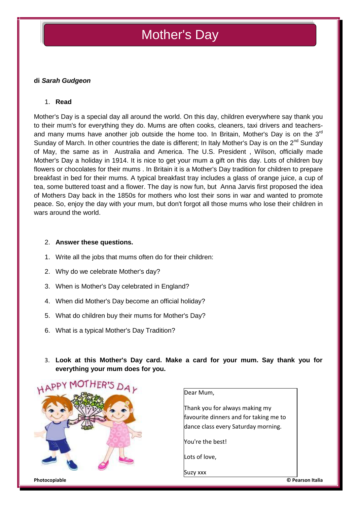# Mother's Day

## **di** *Sarah Gudgeon*

### 1. **Read**

Mother's Day is a special day all around the world. On this day, children everywhere say thank you to their mum's for everything they do. Mums are often cooks, cleaners, taxi drivers and teachers and many mums have another job outside the home too. In Britain, Mother's Day is on the  $3<sup>rd</sup>$ Sunday of March. In other countries the date is different; In Italy Mother's Day is on the 2<sup>nd</sup> Sunday of May, the same as in Australia and America. The U.S. President , Wilson, officially made Mother's Day a holiday in 1914. It is nice to get your mum a gift on this day. Lots of children buy flowers or chocolates for their mums . In Britain it is a Mother's Day tradition for children to prepare breakfast in bed for their mums. A typical breakfast tray includes a glass of orange juice, a cup of tea, some buttered toast and a flower. The day is now fun, but Anna Jarvis first proposed the idea of Mothers Day back in the 1850s for mothers who lost their sons in war and wanted to promote peace. So, enjoy the day with your mum, but don't forgot all those mums who lose their children in wars around the world.

#### 2. **Answer these questions.**

- 1. Write all the jobs that mums often do for their children:
- 2. Why do we celebrate Mother's day?
- 3. When is Mother's Day celebrated in England?
- 4. When did Mother's Day become an official holiday?
- 5. What do children buy their mums for Mother's Day?
- 6. What is a typical Mother's Day Tradition?
- 3. **Look at this Mother's Day card. Make a card for your mum. Say thank you for everything your mum does for you.**



Dear Mum,

Thank you for always making my favourite dinners and for taking me to dance class every Saturday morning.

You're the best!

Lots of love,

Suzy xxx